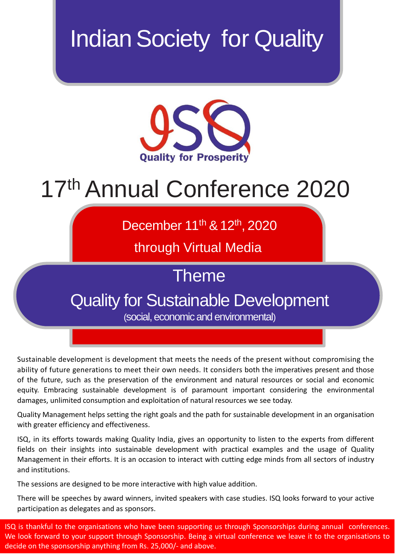# **Indian Society for Quality**



# 17 th Annual Conference 2020

December 11<sup>th</sup> & 12<sup>th</sup>, 2020

through Virtual Media

Theme

# Quality for Sustainable Development

(social, economic and environmental)

Sustainable development is development that meets the needs of the present without compromising the ability of future generations to meet their own needs. It considers both the imperatives present and those of the future, such as the preservation of the environment and natural resources or social and economic equity. Embracing sustainable development is of paramount important considering the environmental damages, unlimited consumption and exploitation of natural resources we see today.

Quality Management helps setting the right goals and the path for sustainable development in an organisation with greater efficiency and effectiveness.

ISQ, in its efforts towards making Quality India, gives an opportunity to listen to the experts from different fields on their insights into sustainable development with practical examples and the usage of Quality Management in their efforts. It is an occasion to interact with cutting edge minds from all sectors of industry and institutions.

The sessions are designed to be more interactive with high value addition.

There will be speeches by award winners, invited speakers with case studies. ISQ looks forward to your active participation as delegates and as sponsors.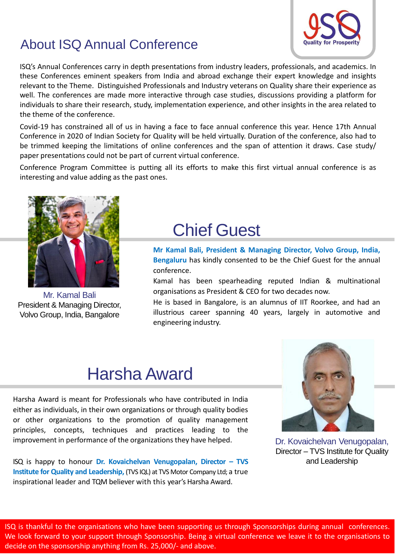### About ISQ Annual Conference

ISQ's Annual Conferences carry in depth presentations from industry leaders, professionals, and academics. In these Conferences eminent speakers from India and abroad exchange their expert knowledge and insights relevant to the Theme. Distinguished Professionals and Industry veterans on Quality share their experience as well. The conferences are made more interactive through case studies, discussions providing a platform for individuals to share their research, study, implementation experience, and other insights in the area related to the theme of the conference.

Covid-19 has constrained all of us in having a face to face annual conference this year. Hence 17th Annual Conference in 2020 of Indian Society for Quality will be held virtually. Duration of the conference, also had to be trimmed keeping the limitations of online conferences and the span of attention it draws. Case study/ paper presentations could not be part of current virtual conference.

Conference Program Committee is putting all its efforts to make this first virtual annual conference is as interesting and value adding as the past ones.



Mr. Kamal Bali President & Managing Director, Volvo Group, India, Bangalore

# Chief Guest

**Mr Kamal Bali, President & Managing Director, Volvo Group, India, Bengaluru** has kindly consented to be the Chief Guest for the annual conference.

Kamal has been spearheading reputed Indian & multinational organisations as President & CEO for two decades now.

He is based in Bangalore, is an alumnus of IIT Roorkee, and had an illustrious career spanning 40 years, largely in automotive and engineering industry.

# Harsha Award

Harsha Award is meant for Professionals who have contributed in India either as individuals, in their own organizations or through quality bodies or other organizations to the promotion of quality management principles, concepts, techniques and practices leading to the improvement in performance of the organizations they have helped.

ISQ is happy to honour **Dr. Kovaichelvan Venugopalan, Director – TVS Institute for Quality and Leadership,** (TVS IQL) at TVS Motor Company Ltd; a true inspirational leader and TQM believer with this year's Harsha Award.



Dr. Kovaichelvan Venugopalan, Director – TVS Institute for Quality and Leadership

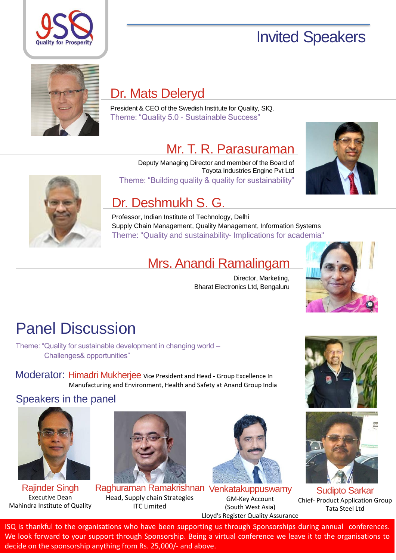

# Invited Speakers



### Dr. Mats Deleryd

President & CEO of the Swedish Institute for Quality, SIQ. Theme: "Quality 5.0 - Sustainable Success"

### Mr. T. R. Parasuraman



Deputy Managing Director and member of the Board of Toyota Industries Engine Pvt Ltd Theme: "Building quality & quality for sustainability"



### Dr. Deshmukh S. G.

Professor, Indian Institute of Technology, Delhi Supply Chain Management, Quality Management, Information Systems Theme: "Quality and sustainability- Implications for academia"

### Mrs. Anandi Ramalingam

Director, Marketing, Bharat Electronics Ltd, Bengaluru



# Panel Discussion

Theme: "Quality for sustainable development in changing world – Challenges& opportunities"

Moderator: Himadri Mukherjee Vice President and Head - Group Excellence In Manufacturing and Environment, Health and Safety at Anand Group India

Speakers in the panel



Rajinder Singh Executive Dean Mahindra Institute of Quality



Raghuraman Ramakrishnan Venkatakuppuswamy Head, Supply chain Strategies ITC Limited



GM-Key Account (South West Asia) Lloyd's Register Quality Assurance





Sudipto Sarkar Chief- Product Application Group Tata Steel Ltd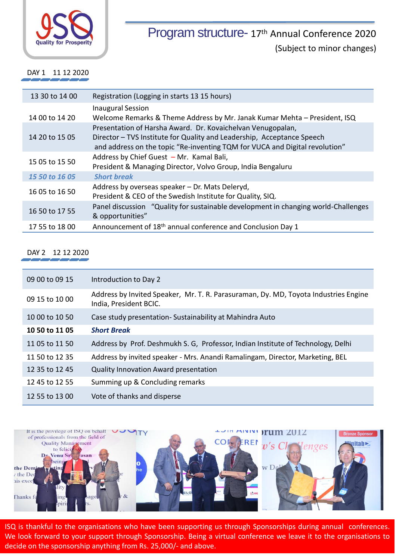

Program structure- 17<sup>th</sup> Annual Conference 2020 (Subject to minor changes)

DAY 1 11 12 2020

| 13 30 to 14 00 | Registration (Logging in starts 13 15 hours)                                                                                                                                                                         |
|----------------|----------------------------------------------------------------------------------------------------------------------------------------------------------------------------------------------------------------------|
| 14 00 to 14 20 | <b>Inaugural Session</b><br>Welcome Remarks & Theme Address by Mr. Janak Kumar Mehta - President, ISQ                                                                                                                |
| 14 20 to 15 05 | Presentation of Harsha Award. Dr. Kovaichelvan Venugopalan,<br>Director - TVS Institute for Quality and Leadership, Acceptance Speech<br>and address on the topic "Re-inventing TQM for VUCA and Digital revolution" |
| 15 05 to 15 50 | Address by Chief Guest - Mr. Kamal Bali,<br>President & Managing Director, Volvo Group, India Bengaluru                                                                                                              |
| 15 50 to 16 05 | <b>Short break</b>                                                                                                                                                                                                   |
| 16 05 to 16 50 | Address by overseas speaker – Dr. Mats Deleryd,<br>President & CEO of the Swedish Institute for Quality, SIQ.                                                                                                        |
| 16 50 to 17 55 | Panel discussion "Quality for sustainable development in changing world-Challenges<br>& opportunities"                                                                                                               |
| 17 55 to 18 00 | Announcement of 18 <sup>th</sup> annual conference and Conclusion Day 1                                                                                                                                              |

#### DAY 2 12 12 2020

| 09 00 to 09 15 | Introduction to Day 2                                                                                         |
|----------------|---------------------------------------------------------------------------------------------------------------|
| 09 15 to 10 00 | Address by Invited Speaker, Mr. T. R. Parasuraman, Dy. MD, Toyota Industries Engine<br>India, President BCIC. |
| 10 00 to 10 50 | Case study presentation-Sustainability at Mahindra Auto                                                       |
| 10 50 to 11 05 | <b>Short Break</b>                                                                                            |
| 11 05 to 11 50 | Address by Prof. Deshmukh S. G, Professor, Indian Institute of Technology, Delhi                              |
| 11 50 to 12 35 | Address by invited speaker - Mrs. Anandi Ramalingam, Director, Marketing, BEL                                 |
| 12 35 to 12 45 | <b>Quality Innovation Award presentation</b>                                                                  |
| 12 45 to 12 55 | Summing up & Concluding remarks                                                                               |
| 12 55 to 13 00 | Vote of thanks and disperse                                                                                   |

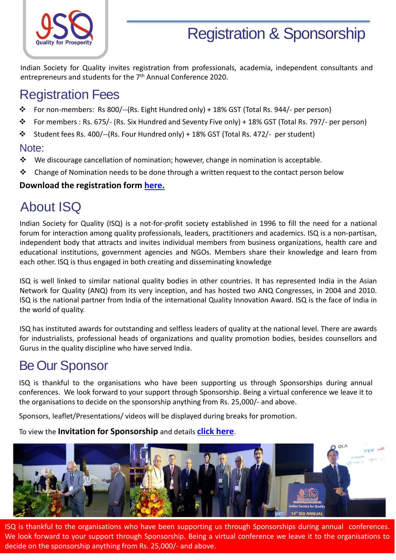

## Registration & Sponsorship

Indian Society for Quality invites registration from professionals, academia, independent consultants and entrepreneurs and students for the 7<sup>th</sup> Annual Conference 2020.

### Registration Fees

- ❖ For non-members: Rs 800/--(Rs. Eight Hundred only) + 18% GST (Total Rs. 944/- per person)
- ❖ For members : Rs. 675/- (Rs. Six Hundred and Seventy Five only) + 18% GST (Total Rs. 797/- per person)
- ❖ Student fees Rs. 400/--(Rs. Four Hundred only) + 18% GST (Total Rs. 472/- per student)

#### Note:

- ❖ We discourage cancellation of nomination; however, change in nomination is acceptable.
- ❖ Change of Nomination needs to be done through a written request to the contact person below

#### **Download the registration form [here.](https://www.isqconference.org/wp-content/uploads/2019/09/Registration_Form_v1.pdf)**

## About ISQ

Indian Society for Quality (ISQ) is a not-for-profit society established in 1996 to fill the need for a national forum for interaction among quality professionals, leaders, practitioners and academics. ISQ is a non-partisan, independent body that attracts and invites individual members from business organizations, health care and educational institutions, government agencies and NGOs. Members share their knowledge and learn from each other. ISQ is thus engaged in both creating and disseminating knowledge

ISQ is well linked to similar national quality bodies in other countries. It has represented India in the Asian Network for Quality (ANQ) from its very inception, and has hosted two ANQ Congresses, in 2004 and 2010. ISQ is the national partner from India of the international Quality Innovation Award. ISQ is the face of India in the world of quality.

ISQ has instituted awards for outstanding and selfless leaders of quality at the national level. There are awards for industrialists, professional heads of organizations and quality promotion bodies, besides counsellors and Gurus in the quality discipline who have served India.

### Be Our Sponsor

ISQ is thankful to the organisations who have been supporting us through Sponsorships during annual conferences. We look forward to your support through Sponsorship. Being a virtual conference we leave it to the organisations to decide on the sponsorship anything from Rs. 25,000/- and above.

Sponsors, leaflet/Presentations/ videos will be displayed during breaks for promotion.

#### To view the **Invitation for Sponsorship** and details **click [here](https://www.isqconference.org/invitation-for-sponsorship/index.html)**.